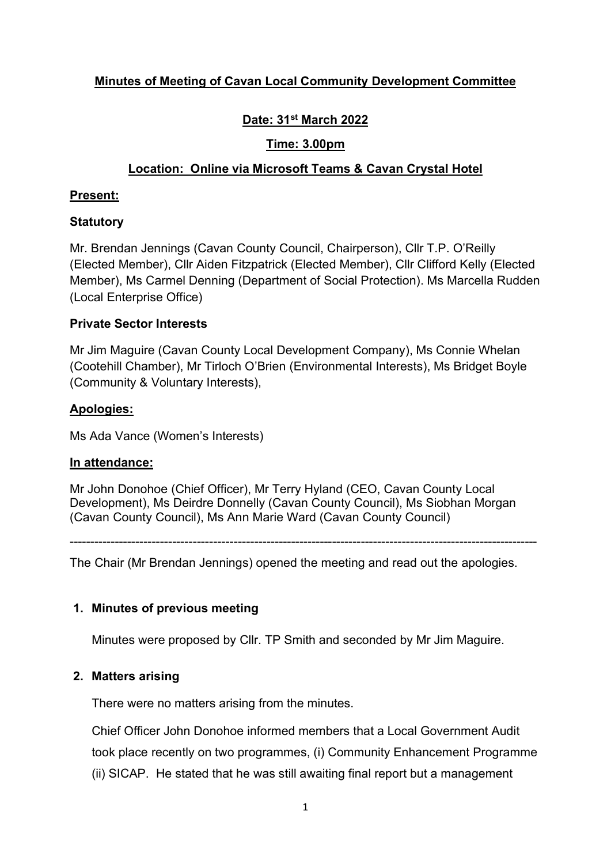# Minutes of Meeting of Cavan Local Community Development Committee

# Date: 31st March 2022

## Time: 3.00pm

## Location: Online via Microsoft Teams & Cavan Crystal Hotel

#### Present:

## **Statutory**

Mr. Brendan Jennings (Cavan County Council, Chairperson), Cllr T.P. O'Reilly (Elected Member), Cllr Aiden Fitzpatrick (Elected Member), Cllr Clifford Kelly (Elected Member), Ms Carmel Denning (Department of Social Protection). Ms Marcella Rudden (Local Enterprise Office)

#### Private Sector Interests

Mr Jim Maguire (Cavan County Local Development Company), Ms Connie Whelan (Cootehill Chamber), Mr Tirloch O'Brien (Environmental Interests), Ms Bridget Boyle (Community & Voluntary Interests),

## Apologies:

Ms Ada Vance (Women's Interests)

## In attendance:

Mr John Donohoe (Chief Officer), Mr Terry Hyland (CEO, Cavan County Local Development), Ms Deirdre Donnelly (Cavan County Council), Ms Siobhan Morgan (Cavan County Council), Ms Ann Marie Ward (Cavan County Council)

------------------------------------------------------------------------------------------------------------------

The Chair (Mr Brendan Jennings) opened the meeting and read out the apologies.

## 1. Minutes of previous meeting

Minutes were proposed by Cllr. TP Smith and seconded by Mr Jim Maguire.

## 2. Matters arising

There were no matters arising from the minutes.

Chief Officer John Donohoe informed members that a Local Government Audit took place recently on two programmes, (i) Community Enhancement Programme (ii) SICAP. He stated that he was still awaiting final report but a management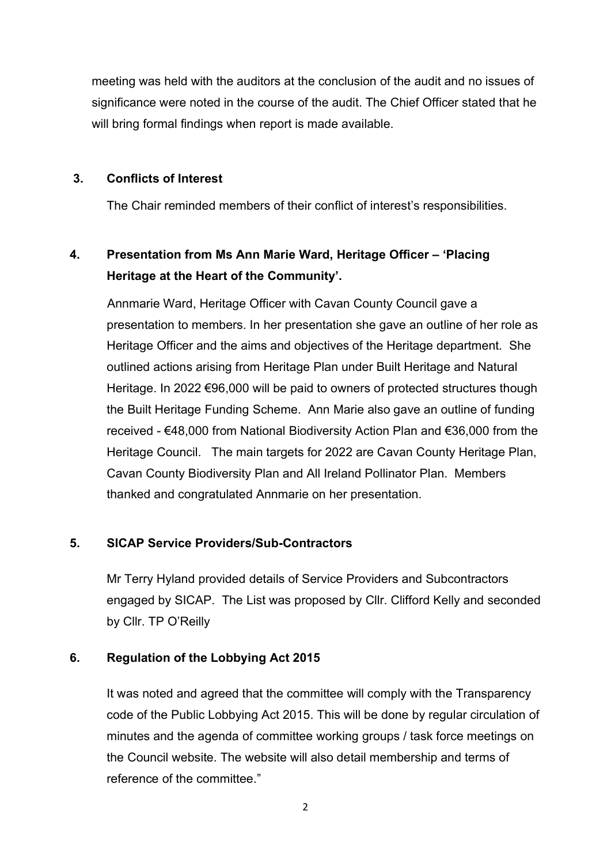meeting was held with the auditors at the conclusion of the audit and no issues of significance were noted in the course of the audit. The Chief Officer stated that he will bring formal findings when report is made available.

#### 3. Conflicts of Interest

The Chair reminded members of their conflict of interest's responsibilities.

# 4. Presentation from Ms Ann Marie Ward, Heritage Officer – 'Placing Heritage at the Heart of the Community'.

Annmarie Ward, Heritage Officer with Cavan County Council gave a presentation to members. In her presentation she gave an outline of her role as Heritage Officer and the aims and objectives of the Heritage department. She outlined actions arising from Heritage Plan under Built Heritage and Natural Heritage. In 2022 €96,000 will be paid to owners of protected structures though the Built Heritage Funding Scheme. Ann Marie also gave an outline of funding received - €48,000 from National Biodiversity Action Plan and €36,000 from the Heritage Council. The main targets for 2022 are Cavan County Heritage Plan, Cavan County Biodiversity Plan and All Ireland Pollinator Plan. Members thanked and congratulated Annmarie on her presentation.

## 5. SICAP Service Providers/Sub-Contractors

Mr Terry Hyland provided details of Service Providers and Subcontractors engaged by SICAP. The List was proposed by Cllr. Clifford Kelly and seconded by Cllr. TP O'Reilly

## 6. Regulation of the Lobbying Act 2015

It was noted and agreed that the committee will comply with the Transparency code of the Public Lobbying Act 2015. This will be done by regular circulation of minutes and the agenda of committee working groups / task force meetings on the Council website. The website will also detail membership and terms of reference of the committee."